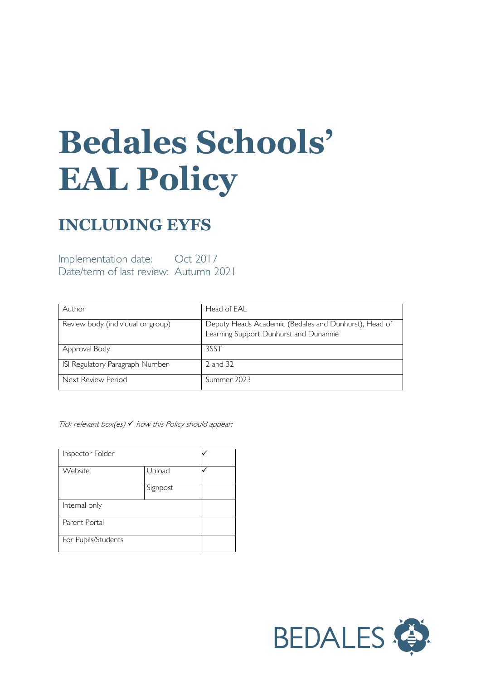# **Bedales Schools' EAL Policy**

# **INCLUDING EYFS**

Implementation date: Oct 2017 Date/term of last review: Autumn 2021

| Author                            | Head of EAL                                                                                     |
|-----------------------------------|-------------------------------------------------------------------------------------------------|
| Review body (individual or group) | Deputy Heads Academic (Bedales and Dunhurst), Head of<br>Learning Support Dunhurst and Dunannie |
| Approval Body                     | 3SST                                                                                            |
| ISI Regulatory Paragraph Number   | 2 and 32                                                                                        |
| Next Review Period                | Summer 2023                                                                                     |

Tick relevant box(es)  $\checkmark$  how this Policy should appear:

| Inspector Folder    |          |  |
|---------------------|----------|--|
| Website             | Upload   |  |
|                     | Signpost |  |
| Internal only       |          |  |
| Parent Portal       |          |  |
| For Pupils/Students |          |  |

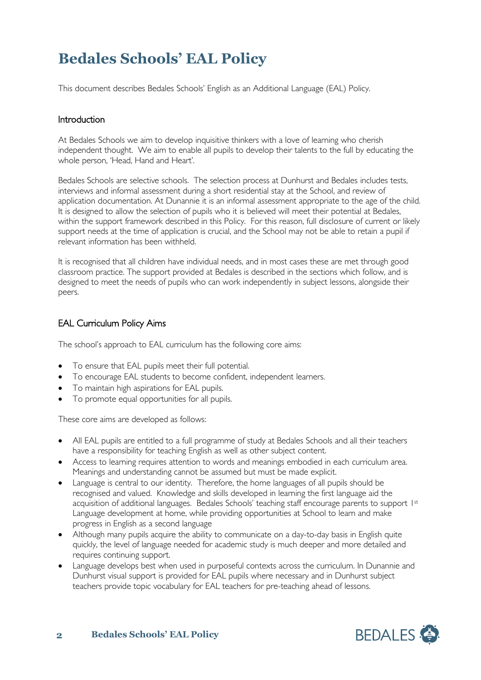# **Bedales Schools' EAL Policy**

This document describes Bedales Schools' English as an Additional Language (EAL) Policy.

#### **Introduction**

At Bedales Schools we aim to develop inquisitive thinkers with a love of learning who cherish independent thought. We aim to enable all pupils to develop their talents to the full by educating the whole person, 'Head, Hand and Heart'.

Bedales Schools are selective schools. The selection process at Dunhurst and Bedales includes tests, interviews and informal assessment during a short residential stay at the School, and review of application documentation. At Dunannie it is an informal assessment appropriate to the age of the child. It is designed to allow the selection of pupils who it is believed will meet their potential at Bedales, within the support framework described in this Policy. For this reason, full disclosure of current or likely support needs at the time of application is crucial, and the School may not be able to retain a pupil if relevant information has been withheld.

It is recognised that all children have individual needs, and in most cases these are met through good classroom practice. The support provided at Bedales is described in the sections which follow, and is designed to meet the needs of pupils who can work independently in subject lessons, alongside their peers.

### EAL Curriculum Policy Aims

The school's approach to EAL curriculum has the following core aims:

- To ensure that EAL pupils meet their full potential.
- To encourage EAL students to become confident, independent learners.
- To maintain high aspirations for EAL pupils.
- To promote equal opportunities for all pupils.

These core aims are developed as follows:

- All EAL pupils are entitled to a full programme of study at Bedales Schools and all their teachers have a responsibility for teaching English as well as other subject content.
- Access to learning requires attention to words and meanings embodied in each curriculum area. Meanings and understanding cannot be assumed but must be made explicit.
- Language is central to our identity. Therefore, the home languages of all pupils should be recognised and valued. Knowledge and skills developed in learning the first language aid the acquisition of additional languages. Bedales Schools' teaching staff encourage parents to support 1st Language development at home, while providing opportunities at School to learn and make progress in English as a second language
- Although many pupils acquire the ability to communicate on a day-to-day basis in English quite quickly, the level of language needed for academic study is much deeper and more detailed and requires continuing support.
- Language develops best when used in purposeful contexts across the curriculum. In Dunannie and Dunhurst visual support is provided for EAL pupils where necessary and in Dunhurst subject teachers provide topic vocabulary for EAL teachers for pre-teaching ahead of lessons.

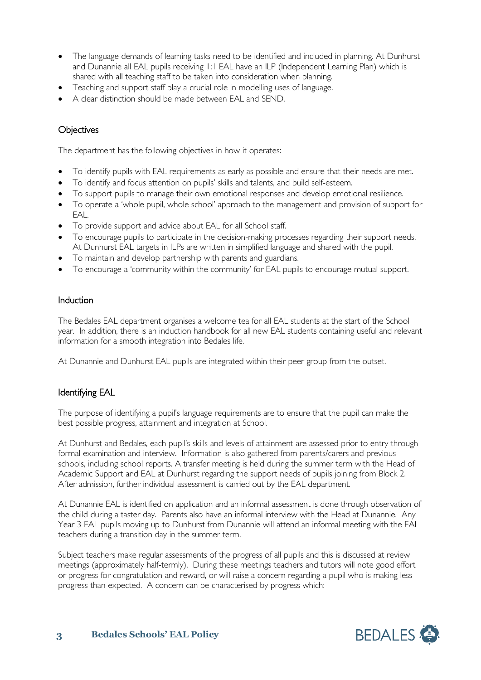- The language demands of learning tasks need to be identified and included in planning. At Dunhurst and Dunannie all EAL pupils receiving 1:1 EAL have an ILP (Independent Learning Plan) which is shared with all teaching staff to be taken into consideration when planning.
- Teaching and support staff play a crucial role in modelling uses of language.
- A clear distinction should be made between EAL and SEND.

## **Objectives**

The department has the following objectives in how it operates:

- To identify pupils with EAL requirements as early as possible and ensure that their needs are met.
- To identify and focus attention on pupils' skills and talents, and build self-esteem.
- To support pupils to manage their own emotional responses and develop emotional resilience.
- To operate a 'whole pupil, whole school' approach to the management and provision of support for EAL.
- To provide support and advice about EAL for all School staff.
- To encourage pupils to participate in the decision-making processes regarding their support needs. At Dunhurst EAL targets in ILPs are written in simplified language and shared with the pupil.
- To maintain and develop partnership with parents and guardians.
- To encourage a 'community within the community' for EAL pupils to encourage mutual support.

#### Induction

The Bedales EAL department organises a welcome tea for all EAL students at the start of the School year. In addition, there is an induction handbook for all new EAL students containing useful and relevant information for a smooth integration into Bedales life.

At Dunannie and Dunhurst EAL pupils are integrated within their peer group from the outset.

#### Identifying EAL

The purpose of identifying a pupil's language requirements are to ensure that the pupil can make the best possible progress, attainment and integration at School.

At Dunhurst and Bedales, each pupil's skills and levels of attainment are assessed prior to entry through formal examination and interview. Information is also gathered from parents/carers and previous schools, including school reports. A transfer meeting is held during the summer term with the Head of Academic Support and EAL at Dunhurst regarding the support needs of pupils joining from Block 2. After admission, further individual assessment is carried out by the EAL department.

At Dunannie EAL is identified on application and an informal assessment is done through observation of the child during a taster day. Parents also have an informal interview with the Head at Dunannie. Any Year 3 EAL pupils moving up to Dunhurst from Dunannie will attend an informal meeting with the EAL teachers during a transition day in the summer term.

Subject teachers make regular assessments of the progress of all pupils and this is discussed at review meetings (approximately half-termly). During these meetings teachers and tutors will note good effort or progress for congratulation and reward, or will raise a concern regarding a pupil who is making less progress than expected. A concern can be characterised by progress which:

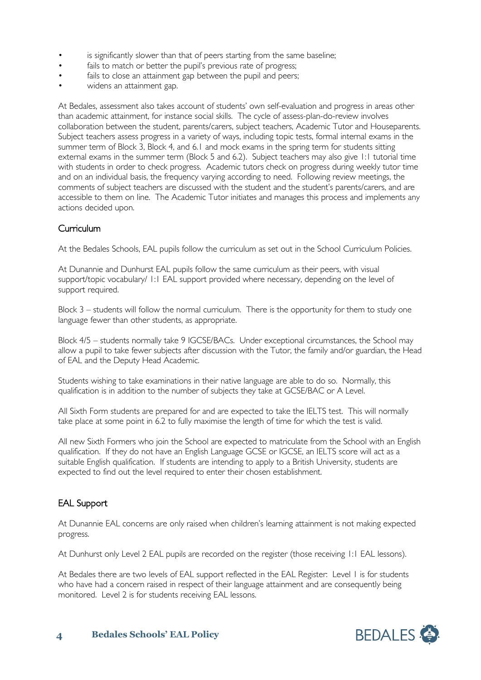- is significantly slower than that of peers starting from the same baseline;
- fails to match or better the pupil's previous rate of progress;
- fails to close an attainment gap between the pupil and peers;
- widens an attainment gap.

At Bedales, assessment also takes account of students' own self-evaluation and progress in areas other than academic attainment, for instance social skills. The cycle of assess-plan-do-review involves collaboration between the student, parents/carers, subject teachers, Academic Tutor and Houseparents. Subject teachers assess progress in a variety of ways, including topic tests, formal internal exams in the summer term of Block 3, Block 4, and 6.1 and mock exams in the spring term for students sitting external exams in the summer term (Block 5 and 6.2). Subject teachers may also give 1:1 tutorial time with students in order to check progress. Academic tutors check on progress during weekly tutor time and on an individual basis, the frequency varying according to need. Following review meetings, the comments of subject teachers are discussed with the student and the student's parents/carers, and are accessible to them on line. The Academic Tutor initiates and manages this process and implements any actions decided upon.

#### Curriculum

At the Bedales Schools, EAL pupils follow the curriculum as set out in the School Curriculum Policies.

At Dunannie and Dunhurst EAL pupils follow the same curriculum as their peers, with visual support/topic vocabulary/ 1:1 EAL support provided where necessary, depending on the level of support required.

Block 3 – students will follow the normal curriculum. There is the opportunity for them to study one language fewer than other students, as appropriate.

Block 4/5 – students normally take 9 IGCSE/BACs. Under exceptional circumstances, the School may allow a pupil to take fewer subjects after discussion with the Tutor, the family and/or guardian, the Head of EAL and the Deputy Head Academic.

Students wishing to take examinations in their native language are able to do so. Normally, this qualification is in addition to the number of subjects they take at GCSE/BAC or A Level.

All Sixth Form students are prepared for and are expected to take the IELTS test. This will normally take place at some point in 6.2 to fully maximise the length of time for which the test is valid.

All new Sixth Formers who join the School are expected to matriculate from the School with an English qualification. If they do not have an English Language GCSE or IGCSE, an IELTS score will act as a suitable English qualification. If students are intending to apply to a British University, students are expected to find out the level required to enter their chosen establishment.

## EAL Support

At Dunannie EAL concerns are only raised when children's learning attainment is not making expected progress.

At Dunhurst only Level 2 EAL pupils are recorded on the register (those receiving 1:1 EAL lessons).

At Bedales there are two levels of EAL support reflected in the EAL Register: Level I is for students who have had a concern raised in respect of their language attainment and are consequently being monitored. Level 2 is for students receiving EAL lessons.

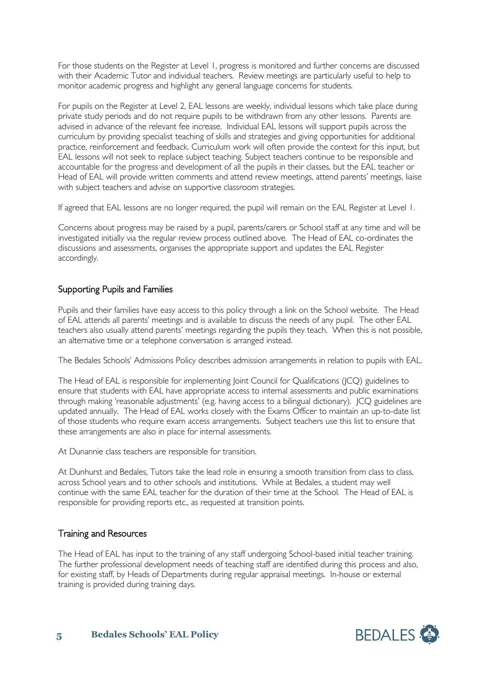For those students on the Register at Level 1, progress is monitored and further concerns are discussed with their Academic Tutor and individual teachers. Review meetings are particularly useful to help to monitor academic progress and highlight any general language concerns for students.

For pupils on the Register at Level 2, EAL lessons are weekly, individual lessons which take place during private study periods and do not require pupils to be withdrawn from any other lessons. Parents are advised in advance of the relevant fee increase. Individual EAL lessons will support pupils across the curriculum by providing specialist teaching of skills and strategies and giving opportunities for additional practice, reinforcement and feedback. Curriculum work will often provide the context for this input, but EAL lessons will not seek to replace subject teaching. Subject teachers continue to be responsible and accountable for the progress and development of all the pupils in their classes, but the EAL teacher or Head of EAL will provide written comments and attend review meetings, attend parents' meetings, liaise with subject teachers and advise on supportive classroom strategies.

If agreed that EAL lessons are no longer required, the pupil will remain on the EAL Register at Level 1.

Concerns about progress may be raised by a pupil, parents/carers or School staff at any time and will be investigated initially via the regular review process outlined above. The Head of EAL co-ordinates the discussions and assessments, organises the appropriate support and updates the EAL Register accordingly.

#### Supporting Pupils and Families

Pupils and their families have easy access to this policy through a link on the School website. The Head of EAL attends all parents' meetings and is available to discuss the needs of any pupil. The other EAL teachers also usually attend parents' meetings regarding the pupils they teach. When this is not possible, an alternative time or a telephone conversation is arranged instead.

The Bedales Schools' Admissions Policy describes admission arrangements in relation to pupils with EAL.

The Head of EAL is responsible for implementing Joint Council for Qualifications (JCQ) guidelines to ensure that students with EAL have appropriate access to internal assessments and public examinations through making 'reasonable adjustments' (e.g. having access to a bilingual dictionary). JCQ guidelines are updated annually. The Head of EAL works closely with the Exams Officer to maintain an up-to-date list of those students who require exam access arrangements. Subject teachers use this list to ensure that these arrangements are also in place for internal assessments.

At Dunannie class teachers are responsible for transition.

At Dunhurst and Bedales, Tutors take the lead role in ensuring a smooth transition from class to class, across School years and to other schools and institutions. While at Bedales, a student may well continue with the same EAL teacher for the duration of their time at the School. The Head of EAL is responsible for providing reports etc., as requested at transition points.

#### Training and Resources

The Head of EAL has input to the training of any staff undergoing School-based initial teacher training. The further professional development needs of teaching staff are identified during this process and also, for existing staff, by Heads of Departments during regular appraisal meetings. In-house or external training is provided during training days.